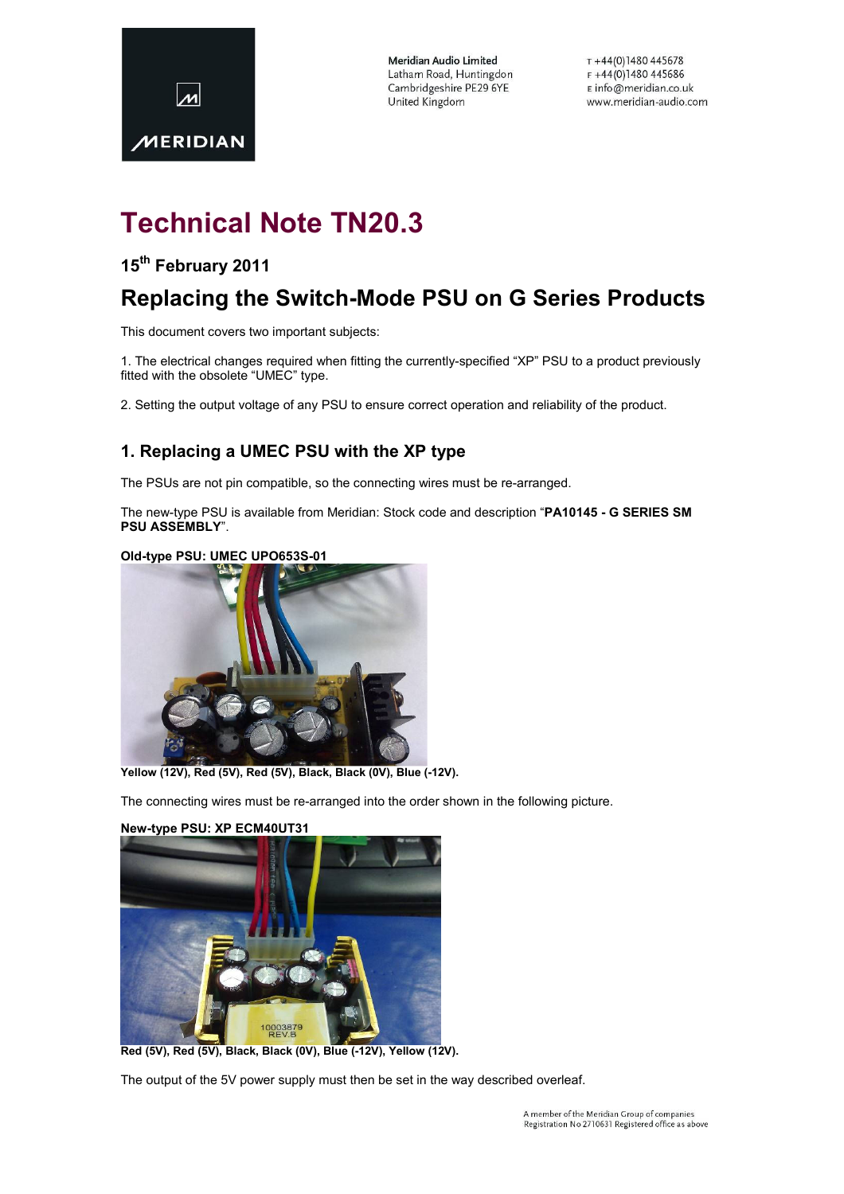

Meridian Audio Limited Latham Road, Huntingdon Cambridgeshire PE29 6YE United Kingdom

 $T + 44(0)1480445678$ F+44(0)1480445686 E info@meridian.co.uk www.meridian-audio.com

# Technical Note TN20.3

## 15<sup>th</sup> February 2011

## Replacing the Switch-Mode PSU on G Series Products

This document covers two important subjects:

1. The electrical changes required when fitting the currently-specified "XP" PSU to a product previously fitted with the obsolete "UMEC" type.

2. Setting the output voltage of any PSU to ensure correct operation and reliability of the product.

### 1. Replacing a UMEC PSU with the XP type

The PSUs are not pin compatible, so the connecting wires must be re-arranged.

The new-type PSU is available from Meridian: Stock code and description "PA10145 - G SERIES SM PSU ASSEMBLY".

#### Old-type PSU: UMEC UPO653S-01



Yellow (12V), Red (5V), Red (5V), Black, Black (0V), Blue (-12V).

The connecting wires must be re-arranged into the order shown in the following picture.



#### New-type PSU: XP ECM40UT31

Red (5V), Red (5V), Black, Black (0V), Blue (-12V), Yellow (12V).

The output of the 5V power supply must then be set in the way described overleaf.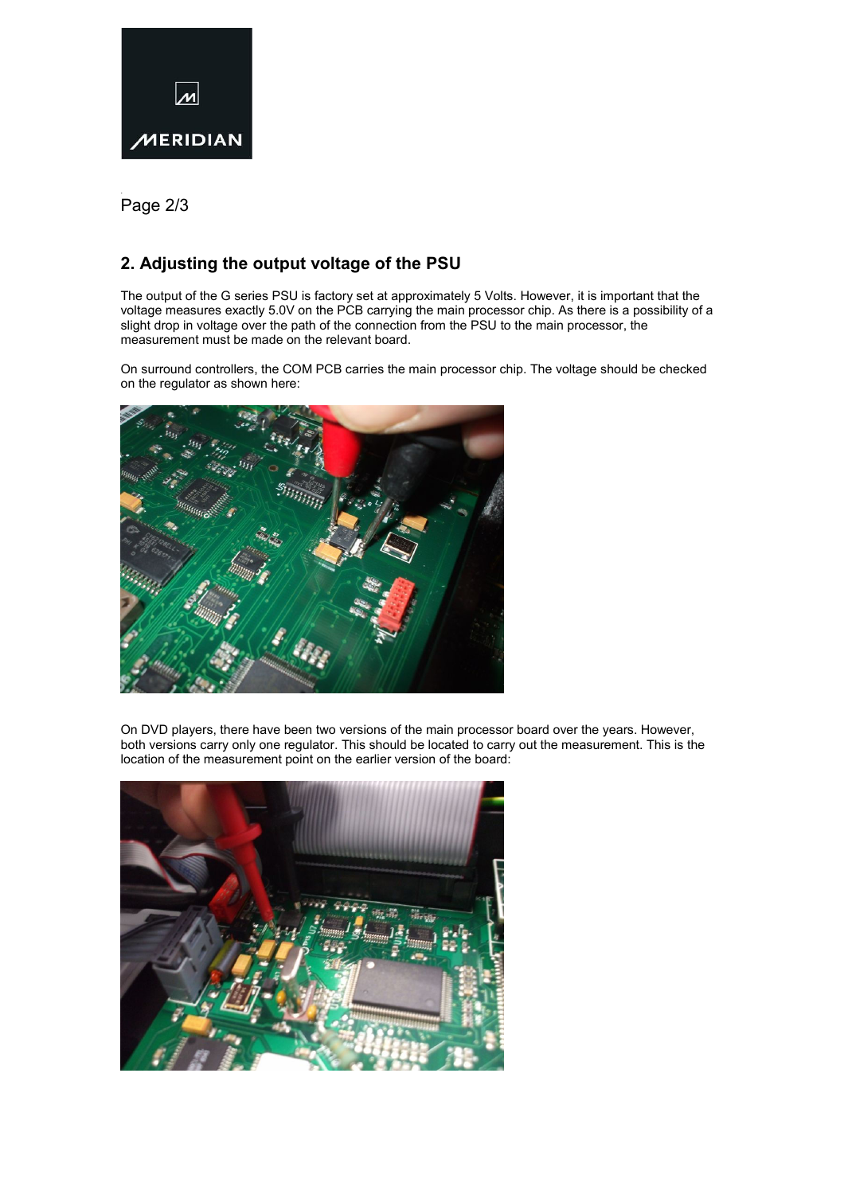

. Page 2/3

## 2. Adjusting the output voltage of the PSU

The output of the G series PSU is factory set at approximately 5 Volts. However, it is important that the voltage measures exactly 5.0V on the PCB carrying the main processor chip. As there is a possibility of a slight drop in voltage over the path of the connection from the PSU to the main processor, the measurement must be made on the relevant board.

On surround controllers, the COM PCB carries the main processor chip. The voltage should be checked on the regulator as shown here:



On DVD players, there have been two versions of the main processor board over the years. However, both versions carry only one regulator. This should be located to carry out the measurement. This is the location of the measurement point on the earlier version of the board: